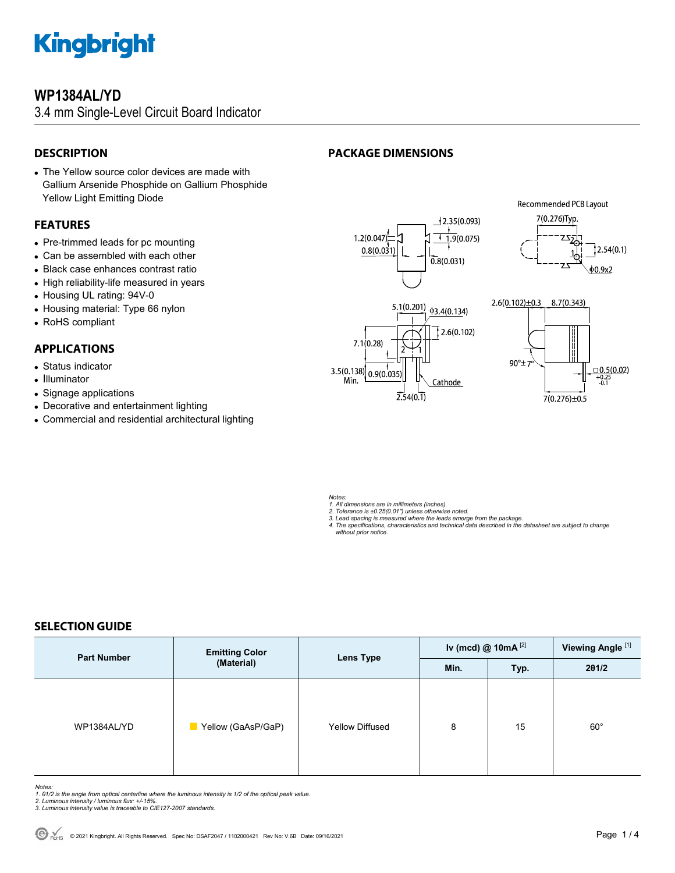

### **WP1384AL/YD**

3.4 mm Single-Level Circuit Board Indicator

#### **DESCRIPTION**

#### The Yellow source color devices are made with Gallium Arsenide Phosphide on Gallium Phosphide Yellow Light Emitting Diode

#### **FEATURES**

- Pre-trimmed leads for pc mounting
- Can be assembled with each other
- Black case enhances contrast ratio
- High reliability-life measured in years
- Housing UL rating: 94V-0
- Housing material: Type 66 nylon
- RoHS compliant

#### **APPLICATIONS**

- Status indicator
- Illuminator
- Signage applications
- Decorative and entertainment lighting
- Commercial and residential architectural lighting

### **PACKAGE DIMENSIONS**



*Notes:* 

- 
- 
- 1. All dimensions are in millimeters (inches).<br>2. Tolerance is ±0.25(0.01") unless otherwise noted.<br>3. Lead spacing is measured where the leads emerge from the package.<br>4. The specifications, characteristics and technical  *without prior notice.*

#### **SELECTION GUIDE**

| <b>Part Number</b> | <b>Emitting Color</b><br>(Material) | Lens Type              | Iv (mcd) @ $10mA$ <sup>[2]</sup> |      | Viewing Angle <sup>[1]</sup> |
|--------------------|-------------------------------------|------------------------|----------------------------------|------|------------------------------|
|                    |                                     |                        | Min.                             | Typ. | 201/2                        |
| WP1384AL/YD        | Yellow (GaAsP/GaP)                  | <b>Yellow Diffused</b> | 8                                | 15   | $60^{\circ}$                 |

- Notes:<br>1. 81/2 is the angle from optical centerline where the luminous intensity is 1/2 of the optical peak value.<br>2. Luminous intensity / luminous flux: +/-15%.<br>3. Luminous intensity value is traceable to CIE127-2007 stan
- 
-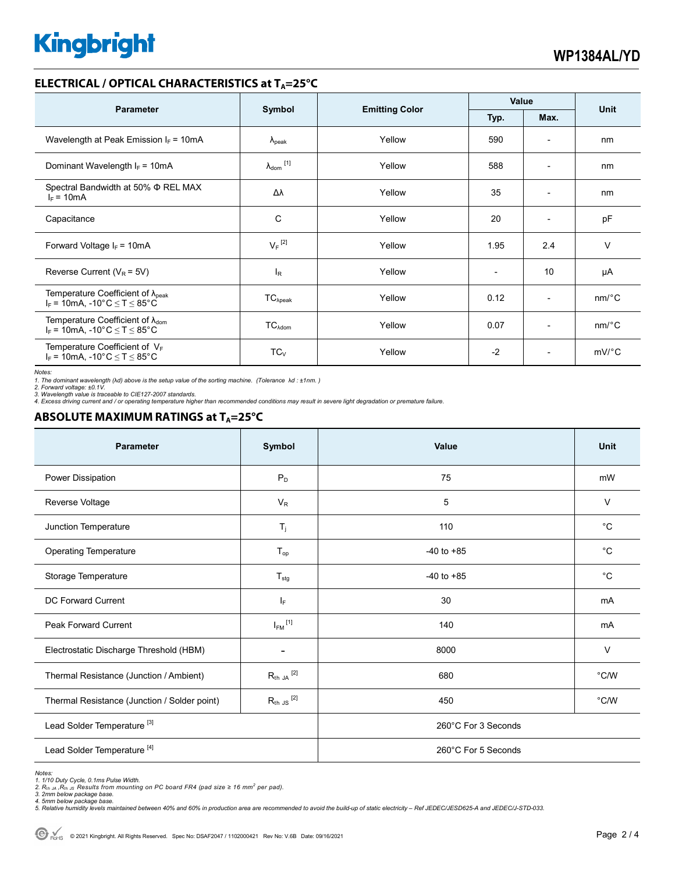# **Kingbright**

#### **ELECTRICAL / OPTICAL CHARACTERISTICS at T<sub>A</sub>=25°C**

| <b>Parameter</b>                                                                              | Symbol                     |                       | Value                    |                          | Unit                  |
|-----------------------------------------------------------------------------------------------|----------------------------|-----------------------|--------------------------|--------------------------|-----------------------|
|                                                                                               |                            | <b>Emitting Color</b> | Typ.                     | Max.                     |                       |
| Wavelength at Peak Emission $I_F = 10mA$                                                      | $\lambda_{\rm peak}$       | Yellow                | 590                      | $\overline{\phantom{a}}$ | nm                    |
| Dominant Wavelength $I_F = 10mA$                                                              | $\lambda_{\text{dom}}$ [1] | Yellow                | 588                      | $\overline{\phantom{a}}$ | nm                    |
| Spectral Bandwidth at 50% $\Phi$ REL MAX<br>$I_F = 10mA$                                      | Δλ                         | Yellow                | 35                       | $\overline{\phantom{a}}$ | nm                    |
| Capacitance                                                                                   | C                          | Yellow                | 20                       | $\overline{a}$           | pF                    |
| Forward Voltage $I_F$ = 10mA                                                                  | $V_F$ <sup>[2]</sup>       | Yellow                | 1.95                     | 2.4                      | $\vee$                |
| Reverse Current ( $V_R$ = 5V)                                                                 | l <sub>R</sub>             | Yellow                | $\overline{\phantom{0}}$ | 10                       | μA                    |
| Temperature Coefficient of $\lambda_{\text{peak}}$<br>$I_F$ = 10mA, -10°C $\leq T \leq 85$ °C | $TC_{\lambda peak}$        | Yellow                | 0.12                     | $\overline{\phantom{a}}$ | $nm$ <sup>o</sup> $C$ |
| Temperature Coefficient of $\lambda_{\text{dom}}$<br>$I_F$ = 10mA, -10°C $\le T \le 85$ °C    | $TC_{\text{Adom}}$         | Yellow                | 0.07                     | $\overline{\phantom{a}}$ | $nm$ <sup>o</sup> $C$ |
| Temperature Coefficient of $V_F$<br>$I_F$ = 10mA, -10°C $\leq T \leq 85$ °C                   | $TC_{V}$                   | Yellow                | $-2$                     | $\overline{\phantom{a}}$ | $mV$ °C               |

*Notes:* 

*1. The dominant wavelength (*λ*d) above is the setup value of the sorting machine. (Tolerance* λ*d : ±1nm. ) 2. Forward voltage: ±0.1V.* 

3. Wavelength value is traceable to CIE127-2007 standards.<br>4. Excess driving current and / or operating temperature higher than recommended conditions may result in severe light degradation or premature failure.

#### **ABSOLUTE MAXIMUM RATINGS at TA=25°C**

| <b>Parameter</b>                             | Symbol                  | Value               | <b>Unit</b>    |  |
|----------------------------------------------|-------------------------|---------------------|----------------|--|
| Power Dissipation                            | $P_D$                   | 75                  | mW             |  |
| Reverse Voltage                              | $V_R$                   | 5                   | $\vee$         |  |
| Junction Temperature                         | $T_j$                   | 110                 | $^{\circ}C$    |  |
| <b>Operating Temperature</b>                 | $T_{op}$                | $-40$ to $+85$      | $^{\circ}C$    |  |
| Storage Temperature                          | $T_{\text{stg}}$        | $-40$ to $+85$      | $^{\circ}C$    |  |
| <b>DC Forward Current</b>                    | IF.                     | 30                  | mA             |  |
| Peak Forward Current                         | $I_{FM}$ <sup>[1]</sup> | 140                 | mA             |  |
| Electrostatic Discharge Threshold (HBM)      |                         | 8000                | $\vee$         |  |
| Thermal Resistance (Junction / Ambient)      | $R_{th}$ ja $^{[2]}$    | 680                 | $^{\circ}$ C/W |  |
| Thermal Resistance (Junction / Solder point) | $R_{th}$ JS $^{[2]}$    | 450                 | °C/W           |  |
| Lead Solder Temperature <sup>[3]</sup>       |                         | 260°C For 3 Seconds |                |  |
| Lead Solder Temperature <sup>[4]</sup>       |                         | 260°C For 5 Seconds |                |  |

*Notes:* 

1. 1/10 Duty Cycle, 0.1ms Pulse Width.<br>2. R<sub>th Ja</sub> ,R<sub>h JS</sub> Results from mounting on PC board FR4 (pad size ≥ 16 mm² per pad).<br>3. 2mm below package base.

*4. 5mm below package base. 5. Relative humidity levels maintained between 40% and 60% in production area are recommended to avoid the build-up of static electricity – Ref JEDEC/JESD625-A and JEDEC/J-STD-033.*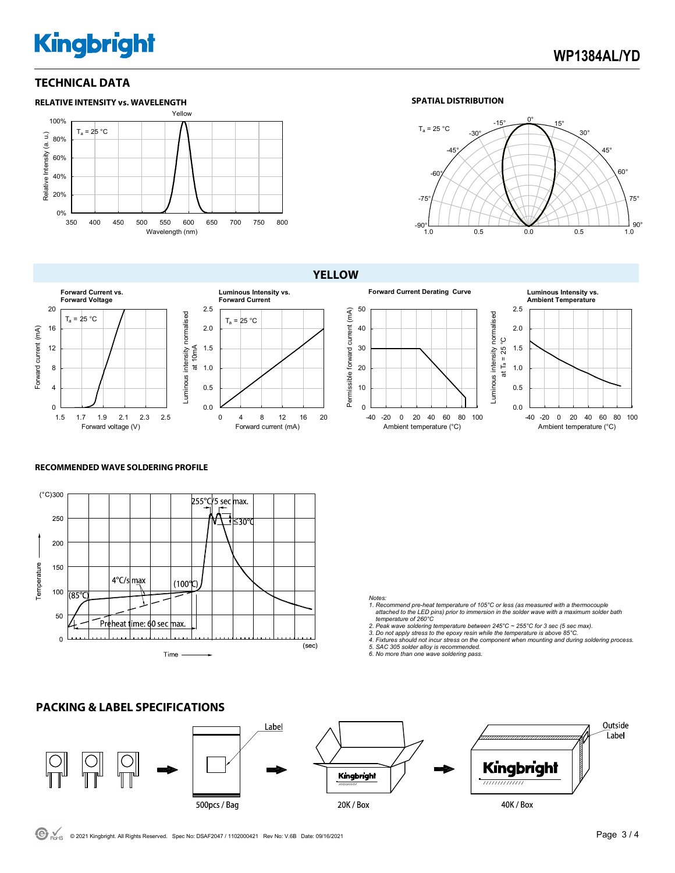# **Kingbright**

#### **TECHNICAL DATA**





**YELLOW**



Forward voltage (V)



50 Permissible forward current (mA) Permissible forward current (mA)







#### **RECOMMENDED WAVE SOLDERING PROFILE**



#### *Notes:*

> *1. Recommend pre-heat temperature of 105°C or less (as measured with a thermocouple attached to the LED pins) prior to immersion in the solder wave with a maximum solder bath*

 *temperature of 260°C 2. Peak wave soldering temperature between 245°C ~ 255°C for 3 sec (5 sec max).* 

3. Do not apply stress to the epoxy resin while the temperature is above 85°C.<br>4. Fixtures should not incur stress on the component when mounting and during soldering process.<br>5. SAC 305 solder alloy is recommended.

*6. No more than one wave soldering pass.*



**PACKING & LABEL SPECIFICATIONS**